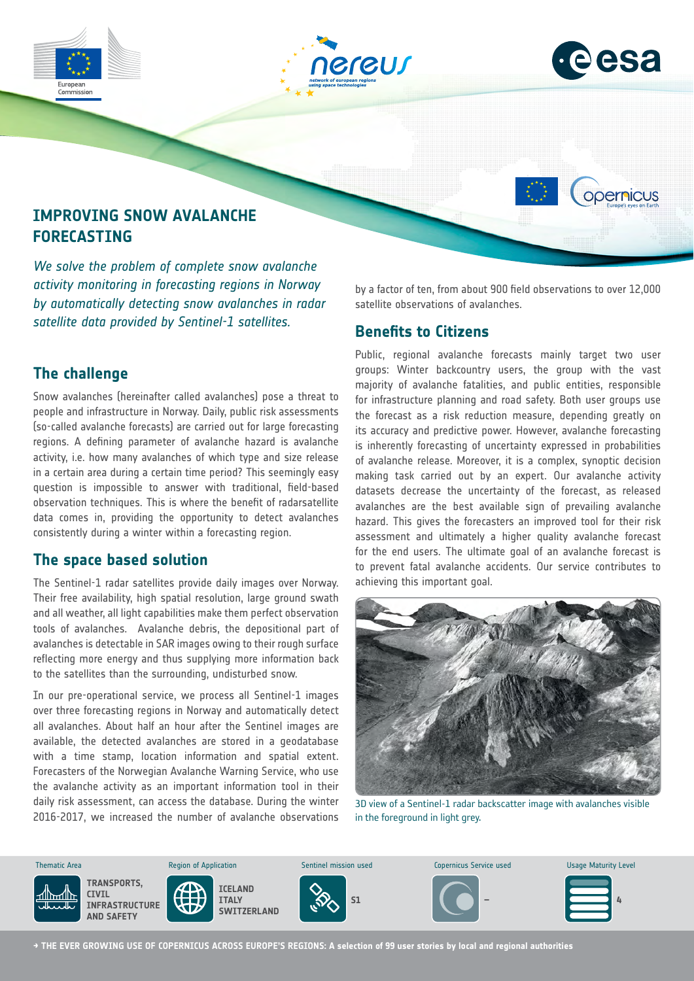



opernicus

# **IMPROVING SNOW AVALANCHE FORECASTING**

*We solve the problem of complete snow avalanche activity monitoring in forecasting regions in Norway by automatically detecting snow avalanches in radar satellite data provided by Sentinel-1 satellites.*

# **The challenge**

Snow avalanches (hereinafter called avalanches) pose a threat to people and infrastructure in Norway. Daily, public risk assessments (so-called avalanche forecasts) are carried out for large forecasting regions. A defining parameter of avalanche hazard is avalanche activity, i.e. how many avalanches of which type and size release in a certain area during a certain time period? This seemingly easy question is impossible to answer with traditional, field-based observation techniques. This is where the benefit of radarsatellite data comes in, providing the opportunity to detect avalanches consistently during a winter within a forecasting region.

### **The space based solution**

The Sentinel-1 radar satellites provide daily images over Norway. Their free availability, high spatial resolution, large ground swath and all weather, all light capabilities make them perfect observation tools of avalanches. Avalanche debris, the depositional part of avalanches is detectable in SAR images owing to their rough surface reflecting more energy and thus supplying more information back to the satellites than the surrounding, undisturbed snow.

In our pre-operational service, we process all Sentinel-1 images over three forecasting regions in Norway and automatically detect all avalanches. About half an hour after the Sentinel images are available, the detected avalanches are stored in a geodatabase with a time stamp, location information and spatial extent. Forecasters of the Norwegian Avalanche Warning Service, who use the avalanche activity as an important information tool in their daily risk assessment, can access the database. During the winter 2016-2017, we increased the number of avalanche observations by a factor of ten, from about 900 field observations to over 12,000 satellite observations of avalanches.

### **Benefits to Citizens**

Public, regional avalanche forecasts mainly target two user groups: Winter backcountry users, the group with the vast majority of avalanche fatalities, and public entities, responsible for infrastructure planning and road safety. Both user groups use the forecast as a risk reduction measure, depending greatly on its accuracy and predictive power. However, avalanche forecasting is inherently forecasting of uncertainty expressed in probabilities of avalanche release. Moreover, it is a complex, synoptic decision making task carried out by an expert. Our avalanche activity datasets decrease the uncertainty of the forecast, as released avalanches are the best available sign of prevailing avalanche hazard. This gives the forecasters an improved tool for their risk assessment and ultimately a higher quality avalanche forecast for the end users. The ultimate goal of an avalanche forecast is to prevent fatal avalanche accidents. Our service contributes to achieving this important goal.



3D view of a Sentinel-1 radar backscatter image with avalanches visible in the foreground in light grey.



**→ THE EVER GROWING USE OF COPERNICUS ACROSS EUROPE'S REGIONS: A selection of 99 user stories by local and regional authorities**